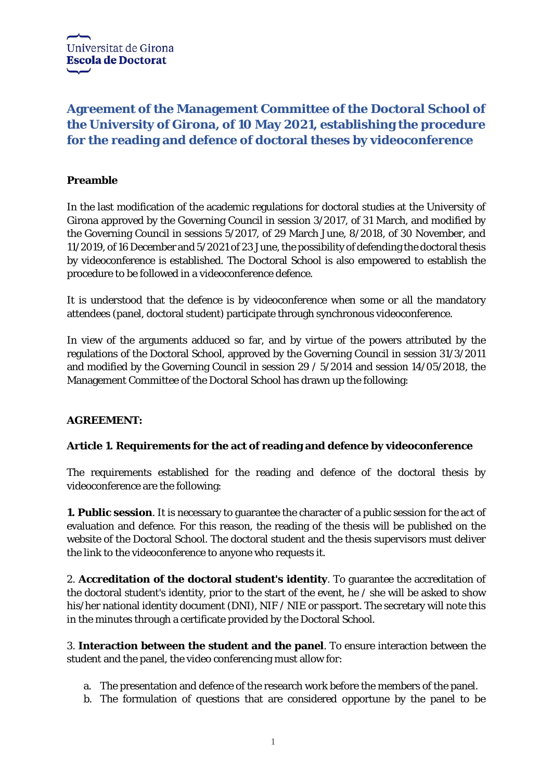# **Agreement of the Management Committee of the Doctoral School of the University of Girona, of 10 May 2021, establishing the procedure for the reading and defence of doctoral theses by videoconference**

# **Preamble**

In the last modification of the academic regulations for doctoral studies at the University of Girona approved by the Governing Council in session 3/2017, of 31 March, and modified by the Governing Council in sessions 5/2017, of 29 March June, 8/2018, of 30 November, and 11/2019, of 16 December and 5/2021 of 23 June, the possibility of defending the doctoral thesis by videoconference is established. The Doctoral School is also empowered to establish the procedure to be followed in a videoconference defence.

It is understood that the defence is by videoconference when some or all the mandatory attendees (panel, doctoral student) participate through synchronous videoconference.

In view of the arguments adduced so far, and by virtue of the powers attributed by the regulations of the Doctoral School, approved by the Governing Council in session 31/3/2011 and modified by the Governing Council in session 29 / 5/2014 and session 14/05/2018, the Management Committee of the Doctoral School has drawn up the following:

## **AGREEMENT:**

## **Article 1. Requirements for the act of reading and defence by videoconference**

The requirements established for the reading and defence of the doctoral thesis by videoconference are the following:

**1. Public session**. It is necessary to guarantee the character of a public session for the act of evaluation and defence. For this reason, the reading of the thesis will be published on the website of the Doctoral School. The doctoral student and the thesis supervisors must deliver the link to the videoconference to anyone who requests it.

2. **Accreditation of the doctoral student's identity**. To guarantee the accreditation of the doctoral student's identity, prior to the start of the event, he / she will be asked to show his/her national identity document (DNI), NIF / NIE or passport. The secretary will note this in the minutes through a certificate provided by the Doctoral School.

3. **Interaction between the student and the panel**. To ensure interaction between the student and the panel, the video conferencing must allow for:

- a. The presentation and defence of the research work before the members of the panel.
- b. The formulation of questions that are considered opportune by the panel to be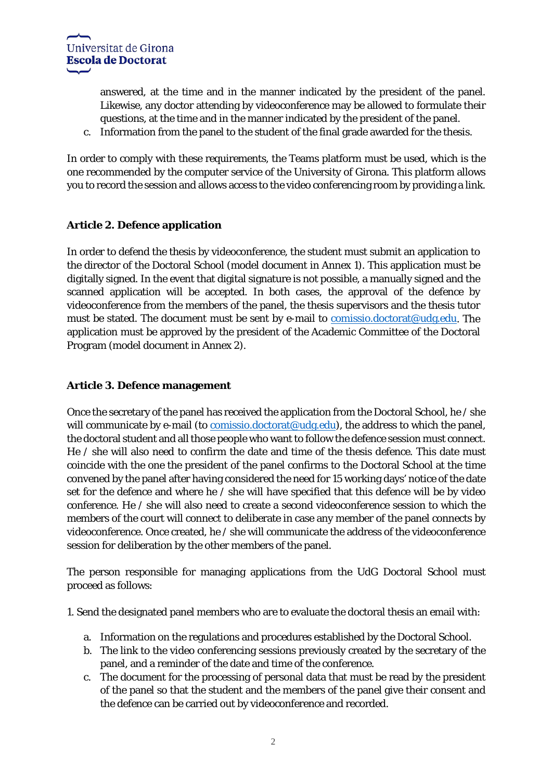answered, at the time and in the manner indicated by the president of the panel. Likewise, any doctor attending by videoconference may be allowed to formulate their questions, at the time and in the manner indicated by the president of the panel.

c. Information from the panel to the student of the final grade awarded for the thesis.

In order to comply with these requirements, the Teams platform must be used, which is the one recommended by the computer service of the University of Girona. This platform allows you to record the session and allows access to the video conferencing room by providing a link.

## **Article 2. Defence application**

In order to defend the thesis by videoconference, the student must submit an application to the director of the Doctoral School (model document in Annex 1). This application must be digitally signed. In the event that digital signature is not possible, a manually signed and the scanned application will be accepted. In both cases, the approval of the defence by videoconference from the members of the panel, the thesis supervisors and the thesis tutor must be stated. The document must be sent by e-mail to [comissio.doctorat@udg.edu.](mailto:comissio.doctorat@udg.edu) The application must be approved by the president of the Academic Committee of the Doctoral Program (model document in Annex 2).

#### **Article 3. Defence management**

Once the secretary of the panel has received the application from the Doctoral School, he / she will communicate by e-mail (to  $comissio.doctorat@udg.edu$ ), the address to which the panel,</u> the doctoral student and all those people who want to follow the defence session must connect. He / she will also need to confirm the date and time of the thesis defence. This date must coincide with the one the president of the panel confirms to the Doctoral School at the time convened by the panel after having considered the need for 15 working days' notice of the date set for the defence and where he / she will have specified that this defence will be by video conference. He / she will also need to create a second videoconference session to which the members of the court will connect to deliberate in case any member of the panel connects by videoconference. Once created, he / she will communicate the address of the videoconference session for deliberation by the other members of the panel.

The person responsible for managing applications from the UdG Doctoral School must proceed as follows:

1. Send the designated panel members who are to evaluate the doctoral thesis an email with:

- a. Information on the regulations and procedures established by the Doctoral School.
- b. The link to the video conferencing sessions previously created by the secretary of the panel, and a reminder of the date and time of the conference.
- c. The document for the processing of personal data that must be read by the president of the panel so that the student and the members of the panel give their consent and the defence can be carried out by videoconference and recorded.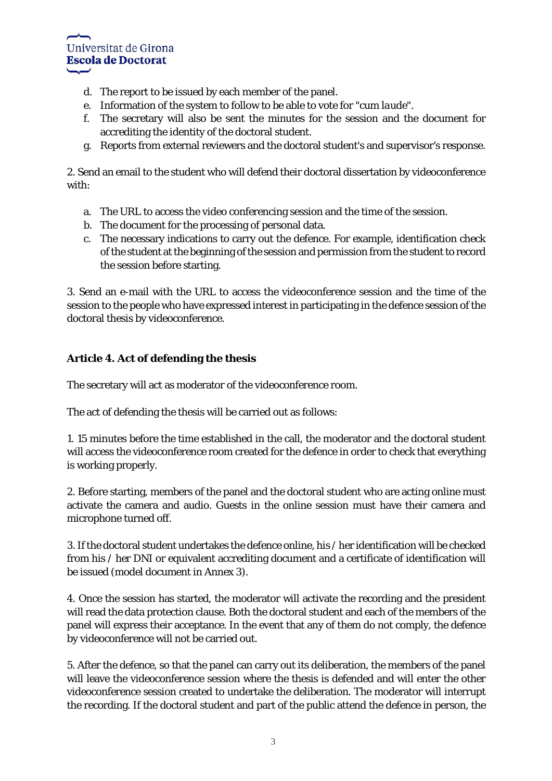

- d. The report to be issued by each member of the panel.
- e. Information of the system to follow to be able to vote for "*cum laude*".
- f. The secretary will also be sent the minutes for the session and the document for accrediting the identity of the doctoral student.
- g. Reports from external reviewers and the doctoral student's and supervisor's response.

2. Send an email to the student who will defend their doctoral dissertation by videoconference with:

- a. The URL to access the video conferencing session and the time of the session.
- b. The document for the processing of personal data.
- c. The necessary indications to carry out the defence. For example, identification check of the student at the beginning of the session and permission from the student to record the session before starting.

3. Send an e-mail with the URL to access the videoconference session and the time of the session to the people who have expressed interest in participating in the defence session of the doctoral thesis by videoconference.

## **Article 4. Act of defending the thesis**

The secretary will act as moderator of the videoconference room.

The act of defending the thesis will be carried out as follows:

1. 15 minutes before the time established in the call, the moderator and the doctoral student will access the videoconference room created for the defence in order to check that everything is working properly.

2. Before starting, members of the panel and the doctoral student who are acting online must activate the camera and audio. Guests in the online session must have their camera and microphone turned off.

3. If the doctoral student undertakes the defence online, his / her identification will be checked from his / her DNI or equivalent accrediting document and a certificate of identification will be issued (model document in Annex 3).

4. Once the session has started, the moderator will activate the recording and the president will read the data protection clause. Both the doctoral student and each of the members of the panel will express their acceptance. In the event that any of them do not comply, the defence by videoconference will not be carried out.

5. After the defence, so that the panel can carry out its deliberation, the members of the panel will leave the videoconference session where the thesis is defended and will enter the other videoconference session created to undertake the deliberation. The moderator will interrupt the recording. If the doctoral student and part of the public attend the defence in person, the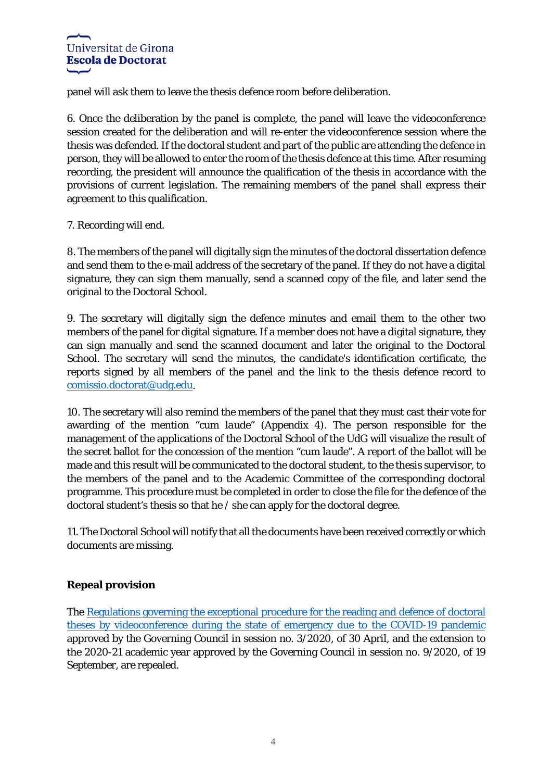

panel will ask them to leave the thesis defence room before deliberation.

6. Once the deliberation by the panel is complete, the panel will leave the videoconference session created for the deliberation and will re-enter the videoconference session where the thesis was defended. If the doctoral student and part of the public are attending the defence in person, they will be allowed to enter the room of the thesis defence at this time. After resuming recording, the president will announce the qualification of the thesis in accordance with the provisions of current legislation. The remaining members of the panel shall express their agreement to this qualification.

#### 7. Recording will end.

8. The members of the panel will digitally sign the minutes of the doctoral dissertation defence and send them to the e-mail address of the secretary of the panel. If they do not have a digital signature, they can sign them manually, send a scanned copy of the file, and later send the original to the Doctoral School.

9. The secretary will digitally sign the defence minutes and email them to the other two members of the panel for digital signature. If a member does not have a digital signature, they can sign manually and send the scanned document and later the original to the Doctoral School. The secretary will send the minutes, the candidate's identification certificate, the reports signed by all members of the panel and the link to the thesis defence record to [comissio.doctorat@udg.edu.](mailto:comissio.doctorat@udg.edu)

10. The secretary will also remind the members of the panel that they must cast their vote for awarding of the mention "*cum laude*" (Appendix 4). The person responsible for the management of the applications of the Doctoral School of the UdG will visualize the result of the secret ballot for the concession of the mention "*cum laude*". A report of the ballot will be made and this result will be communicated to the doctoral student, to the thesis supervisor, to the members of the panel and to the Academic Committee of the corresponding doctoral programme. This procedure must be completed in order to close the file for the defence of the doctoral student's thesis so that he / she can apply for the doctoral degree.

11. The Doctoral School will notify that all the documents have been received correctly or which documents are missing.

#### **Repeal provision**

The [Regulations governing the exceptional procedure for the reading and defence of doctoral](https://www.udg.edu/ca/portals/1/Normativa/Procediment-excepcional-defensa-tesis-1_EN.pdf)  [theses by videoconference during the state of emergency due to the COVID-19 pandemic](https://www.udg.edu/ca/portals/1/Normativa/Procediment-excepcional-defensa-tesis-1_EN.pdf) approved by the Governing Council in session no. 3/2020, of 30 April, and the extension to the 2020-21 academic year approved by the Governing Council in session no. 9/2020, of 19 September, are repealed.